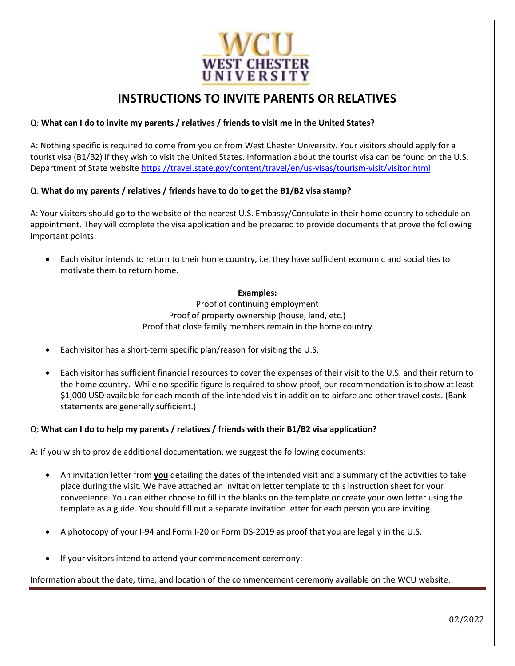

# **INSTRUCTIONS TO INVITE PARENTS OR RELATIVES**

# Q: **What can I do to invite my parents / relatives / friends to visit me in the United States?**

A: Nothing specific is required to come from you or from West Chester University. Your visitors should apply for a tourist visa (B1/B2) if they wish to visit the United States. Information about the tourist visa can be found on the U.S. Department of State website<https://travel.state.gov/content/travel/en/us-visas/tourism-visit/visitor.html>

# Q: **What do my parents / relatives / friends have to do to get the B1/B2 visa stamp?**

A: Your visitors should go to the website of the nearest U.S. Embassy/Consulate in their home country to schedule an appointment. They will complete the visa application and be prepared to provide documents that prove the following important points:

• Each visitor intends to return to their home country, i.e. they have sufficient economic and social ties to motivate them to return home.

#### **Examples:**

Proof of continuing employment Proof of property ownership (house, land, etc.) Proof that close family members remain in the home country

- Each visitor has a short-term specific plan/reason for visiting the U.S.
- Each visitor has sufficient financial resources to cover the expenses of their visit to the U.S. and their return to the home country. While no specific figure is required to show proof, our recommendation is to show at least \$1,000 USD available for each month of the intended visit in addition to airfare and other travel costs. (Bank statements are generally sufficient.)

#### Q: **What can I do to help my parents / relatives / friends with their B1/B2 visa application?**

A: If you wish to provide additional documentation, we suggest the following documents:

- An invitation letter from **you** detailing the dates of the intended visit and a summary of the activities to take place during the visit. We have attached an invitation letter template to this instruction sheet for your convenience. You can either choose to fill in the blanks on the template or create your own letter using the template as a guide. You should fill out a separate invitation letter for each person you are inviting.
- A photocopy of your I-94 and Form I-20 or Form DS-2019 as proof that you are legally in the U.S.
- If your visitors intend to attend your commencement ceremony:

Information about the date, time, and location of the commencement ceremony available on the WCU website.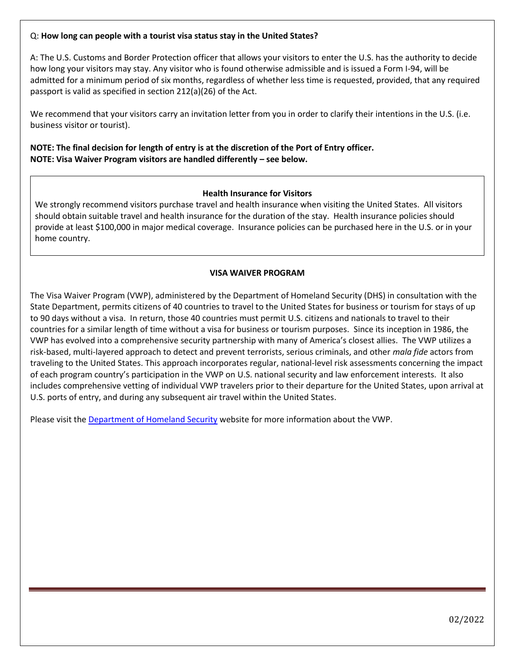#### Q: **How long can people with a tourist visa status stay in the United States?**

A: The U.S. Customs and Border Protection officer that allows your visitors to enter the U.S. has the authority to decide how long your visitors may stay. Any visitor who is found otherwise admissible and is issued a Form I-94, will be admitted for a minimum period of six months, regardless of whether less time is requested, provided, that any required passport is valid as specified in section 212(a)(26) of the Act.

We recommend that your visitors carry an invitation letter from you in order to clarify their intentions in the U.S. (i.e. business visitor or tourist).

# **NOTE: The final decision for length of entry is at the discretion of the Port of Entry officer. NOTE: Visa Waiver Program visitors are handled differently – see below.**

#### **Health Insurance for Visitors**

We strongly recommend visitors purchase travel and health insurance when visiting the United States. All visitors should obtain suitable travel and health insurance for the duration of the stay. Health insurance policies should provide at least \$100,000 in major medical coverage. Insurance policies can be purchased here in the U.S. or in your home country.

# **VISA WAIVER PROGRAM**

The Visa Waiver Program (VWP), administered by the Department of Homeland Security (DHS) in consultation with the State Department, permits citizens of 40 countries to travel to the United States for business or tourism for stays of up to 90 days without a visa. In return, those 40 countries must permit U.S. citizens and nationals to travel to their countries for a similar length of time without a visa for business or tourism purposes. Since its inception in 1986, the VWP has evolved into a comprehensive security partnership with many of America's closest allies. The VWP utilizes a risk-based, multi-layered approach to detect and prevent terrorists, serious criminals, and other *mala fide* actors from traveling to the United States. This approach incorporates regular, national-level risk assessments concerning the impact of each program country's participation in the VWP on U.S. national security and law enforcement interests. It also includes comprehensive vetting of individual VWP travelers prior to their departure for the United States, upon arrival at U.S. ports of entry, and during any subsequent air travel within the United States.

Please visit the [Department of Homeland Security](https://www.dhs.gov/visa-waiver-program) website for more information about the VWP.